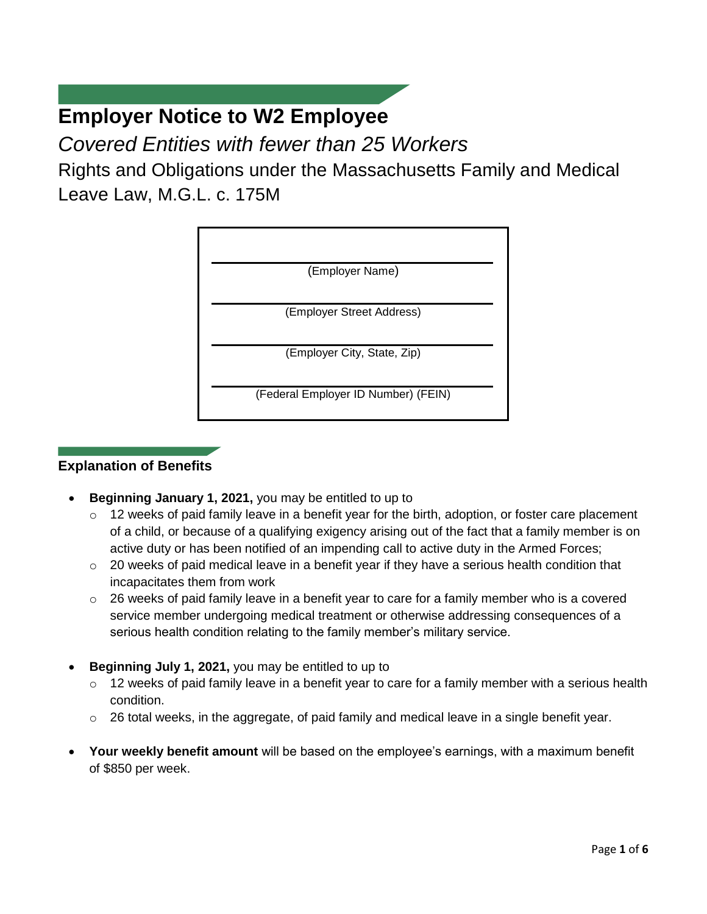# **Employer Notice to W2 Employee**

*Covered Entities with fewer than 25 Workers*

Rights and Obligations under the Massachusetts Family and Medical Leave Law, M.G.L. c. 175M



# **Explanation of Benefits**

- **Beginning January 1, 2021,** you may be entitled to up to
	- $\circ$  12 weeks of paid family leave in a benefit year for the birth, adoption, or foster care placement of a child, or because of a qualifying exigency arising out of the fact that a family member is on active duty or has been notified of an impending call to active duty in the Armed Forces;
	- o 20 weeks of paid medical leave in a benefit year if they have a serious health condition that incapacitates them from work
	- $\circ$  26 weeks of paid family leave in a benefit year to care for a family member who is a covered service member undergoing medical treatment or otherwise addressing consequences of a serious health condition relating to the family member's military service.
- **Beginning July 1, 2021,** you may be entitled to up to
	- o 12 weeks of paid family leave in a benefit year to care for a family member with a serious health condition.
	- o 26 total weeks, in the aggregate, of paid family and medical leave in a single benefit year.
- **Your weekly benefit amount** will be based on the employee's earnings, with a maximum benefit of \$850 per week.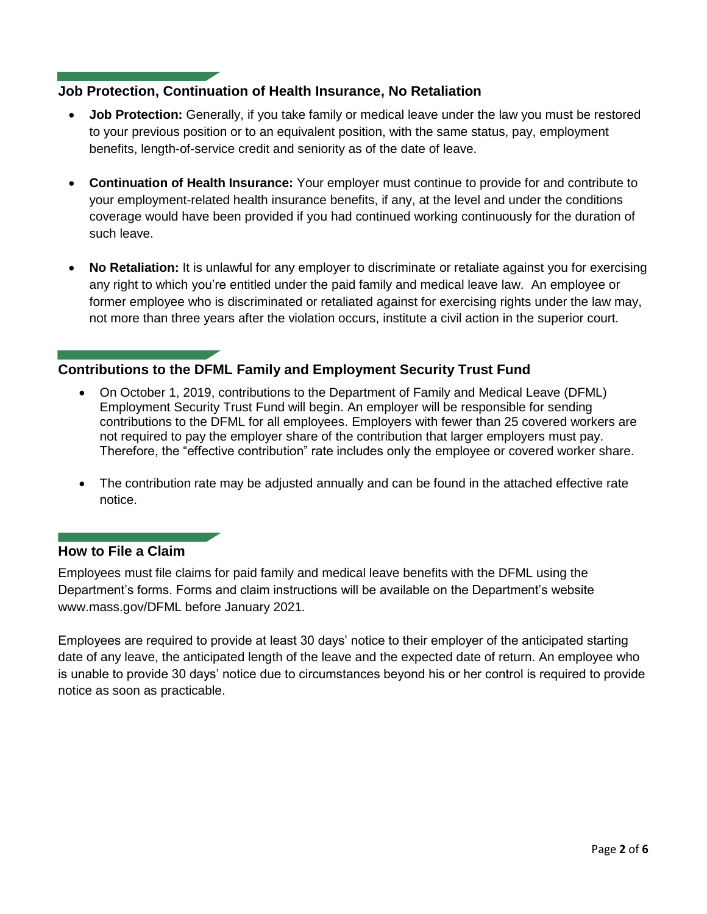### **Job Protection, Continuation of Health Insurance, No Retaliation**

- **Job Protection:** Generally, if you take family or medical leave under the law you must be restored to your previous position or to an equivalent position, with the same status, pay, employment benefits, length-of-service credit and seniority as of the date of leave.
- **Continuation of Health Insurance:** Your employer must continue to provide for and contribute to your employment-related health insurance benefits, if any, at the level and under the conditions coverage would have been provided if you had continued working continuously for the duration of such leave.
- **No Retaliation:** It is unlawful for any employer to discriminate or retaliate against you for exercising any right to which you're entitled under the paid family and medical leave law. An employee or former employee who is discriminated or retaliated against for exercising rights under the law may, not more than three years after the violation occurs, institute a civil action in the superior court.

## **Contributions to the DFML Family and Employment Security Trust Fund**

- On October 1, 2019, contributions to the Department of Family and Medical Leave (DFML) Employment Security Trust Fund will begin. An employer will be responsible for sending contributions to the DFML for all employees. Employers with fewer than 25 covered workers are not required to pay the employer share of the contribution that larger employers must pay. Therefore, the "effective contribution" rate includes only the employee or covered worker share.
- The contribution rate may be adjusted annually and can be found in the attached effective rate notice.

#### **How to File a Claim**

Employees must file claims for paid family and medical leave benefits with the DFML using the Department's forms. Forms and claim instructions will be available on the Department's website www.mass.gov/DFML before January 2021.

Employees are required to provide at least 30 days' notice to their employer of the anticipated starting date of any leave, the anticipated length of the leave and the expected date of return. An employee who is unable to provide 30 days' notice due to circumstances beyond his or her control is required to provide notice as soon as practicable.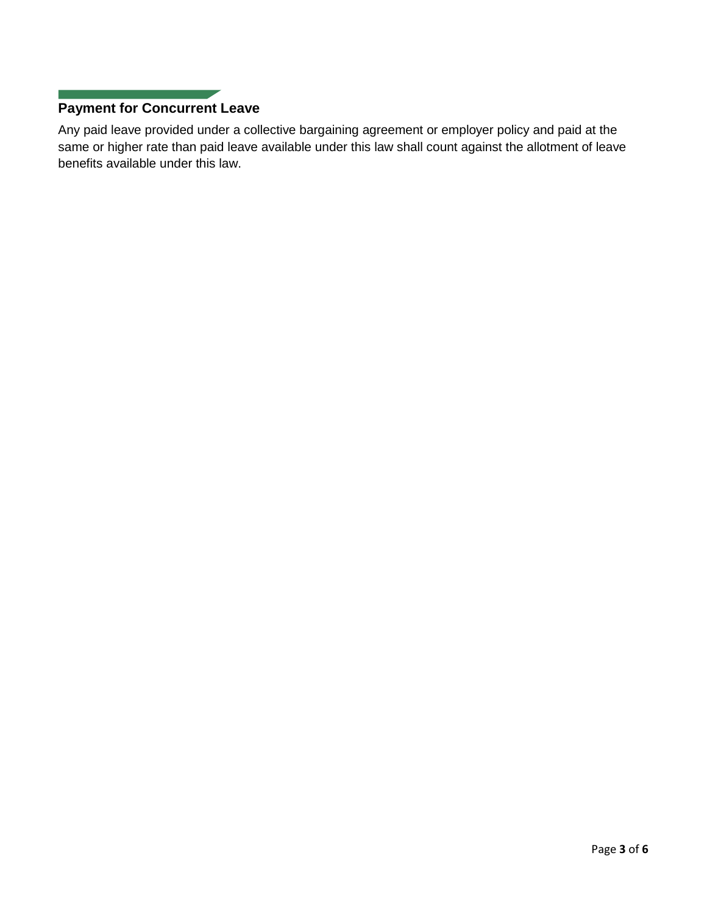# **Payment for Concurrent Leave**

Any paid leave provided under a collective bargaining agreement or employer policy and paid at the same or higher rate than paid leave available under this law shall count against the allotment of leave benefits available under this law.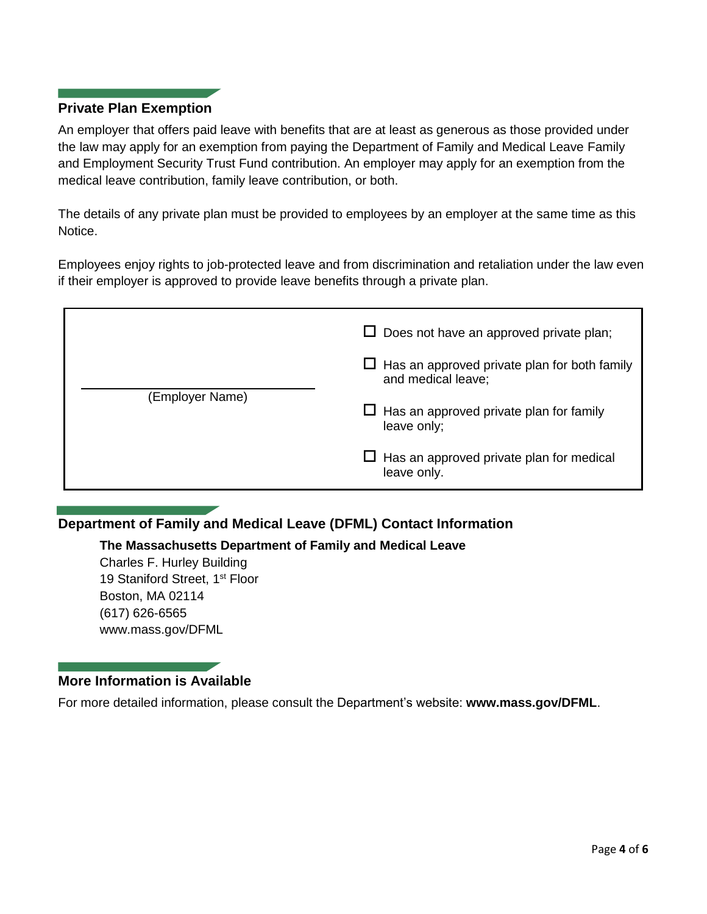#### **Private Plan Exemption**

An employer that offers paid leave with benefits that are at least as generous as those provided under the law may apply for an exemption from paying the Department of Family and Medical Leave Family and Employment Security Trust Fund contribution. An employer may apply for an exemption from the medical leave contribution, family leave contribution, or both.

The details of any private plan must be provided to employees by an employer at the same time as this Notice.

Employees enjoy rights to job-protected leave and from discrimination and retaliation under the law even if their employer is approved to provide leave benefits through a private plan.

| (Employer Name) | $\Box$ Does not have an approved private plan;                            |
|-----------------|---------------------------------------------------------------------------|
|                 | $\Box$ Has an approved private plan for both family<br>and medical leave; |
|                 | $\Box$ Has an approved private plan for family<br>leave only;             |
|                 | $\Box$ Has an approved private plan for medical<br>leave only.            |

## **Department of Family and Medical Leave (DFML) Contact Information**

**The Massachusetts Department of Family and Medical Leave**

Charles F. Hurley Building 19 Staniford Street, 1<sup>st</sup> Floor Boston, MA 02114 (617) 626-6565 www.mass.gov/DFML

## **More Information is Available**

For more detailed information, please consult the Department's website: **www.mass.gov/DFML**.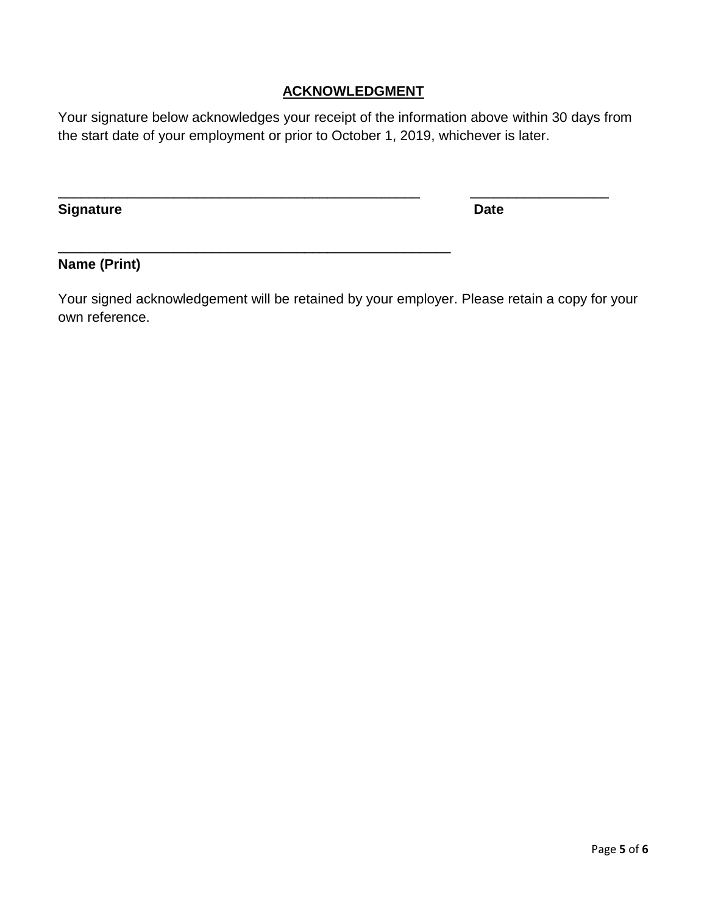## **ACKNOWLEDGMENT**

Your signature below acknowledges your receipt of the information above within 30 days from the start date of your employment or prior to October 1, 2019, whichever is later.

\_\_\_\_\_\_\_\_\_\_\_\_\_\_\_\_\_\_\_\_\_\_\_\_\_\_\_\_\_\_\_\_\_\_\_\_\_\_\_\_\_\_\_\_\_\_\_ \_\_\_\_\_\_\_\_\_\_\_\_\_\_\_\_\_\_

\_\_\_\_\_\_\_\_\_\_\_\_\_\_\_\_\_\_\_\_\_\_\_\_\_\_\_\_\_\_\_\_\_\_\_\_\_\_\_\_\_\_\_\_\_\_\_\_\_\_\_

**Signature Date** 

## **Name (Print)**

Your signed acknowledgement will be retained by your employer. Please retain a copy for your own reference.